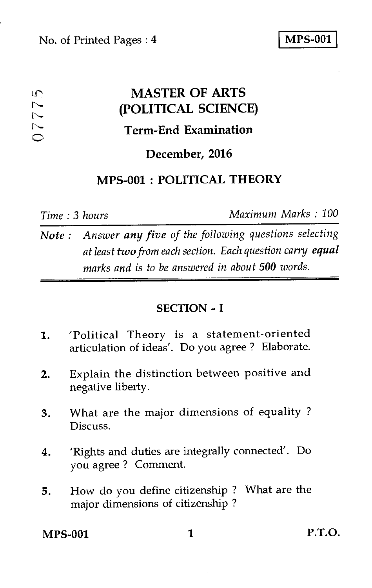#### **MASTER OF ARTS**  டி  $\sim$ **(POLITICAL SCIENCE)**   $\overline{\phantom{a}}$  $\overline{\phantom{0}}$ **Term-End Examination**   $\subset$

# **December, 2016**

# **MPS-001 : POLITICAL THEORY**

*Time : 3 hours Maximum Marks : 100* 

*Note : Answer any five of the following questions selecting at least two from each section. Each question carry equal marks and is to be answered in about 500 words.* 

#### **SECTION - I**

- 1. 'Political Theory is a statement-oriented articulation of ideas'. Do you agree ? Elaborate.
- 2. Explain the distinction between positive and negative liberty.
- 3. What are the major dimensions of equality ? Discuss.
- 4. 'Rights and duties are integrally connected'. Do you agree ? Comment.
- 5. How do you define citizenship ? What are the major dimensions of citizenship ?

**MPS-001 1 P.T.O.**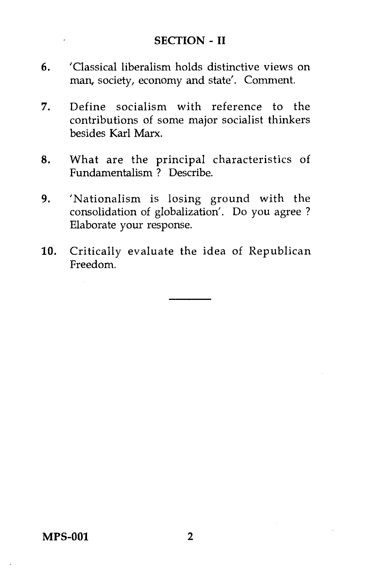#### **SECTION - II**

- 6. 'Classical liberalism holds distinctive views on man, society, economy and state'. Comment.
- 7. Define socialism with reference to the contributions of some major socialist thinkers besides Karl Marx.
- 8. What are the principal characteristics of Fundamentalism ? Describe.
- 9. 'Nationalism is losing ground with the consolidation of globalization'. Do you agree ? Elaborate your response.
- 10. Critically evaluate the idea of Republican Freedom.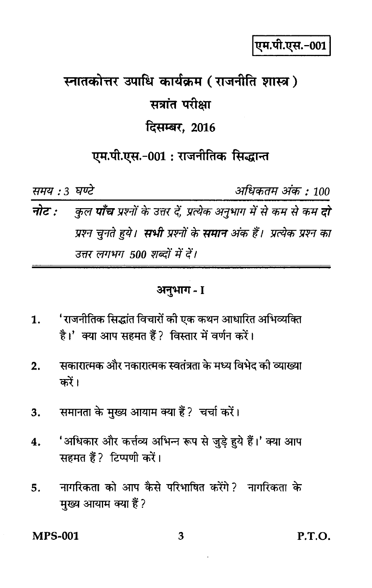एम.पी.एस.-001

# स्नातकोत्तर उपाधि कार्यक्रम (राजनीति शास्त्र) सत्रांत परीक्षा दिसम्बर, 2016

# एम.पी.एस.-001 : राजनीतिक सिद्धान्त

समय : 3 घण्टे

अधिकतम अंक : 100

कुल **पाँच** प्रश्नों के उत्तर दें, प्रत्येक अनुभाग में से कम से कम **दो** नोट : प्रश्न चुनते हुये। **सभी** प्रश्नों के **समान** अंक हैं। प्रत्येक प्रश्न का उत्तर लगभग 500 शब्दों में दें।

#### अनुभाग - I

- 'राजनीतिक सिद्धांत विचारों की एक कथन आधारित अभिव्यक्ति 1. है।' क्या आप सहमत हैं? विस्तार में वर्णन करें।
- सकारात्मक और नकारात्मक स्वतंत्रता के मध्य विभेद को व्याख्या  $2.$ करें।
- समानता के मुख्य आयाम क्या हैं? चर्चा करें।  $3.$
- 'अधिकार और कर्त्तव्य अभिन्न रूप से जुड़े हुये हैं।' क्या आप  $\boldsymbol{4}$ . सहमत हैं ? टिप्पणी करें।
- नागरिकता को आप कैसे परिभाषित करेंगे? नागरिकता के 5. मुख्य आयाम क्या हैं?

**MPS-001** 

P.T.O.